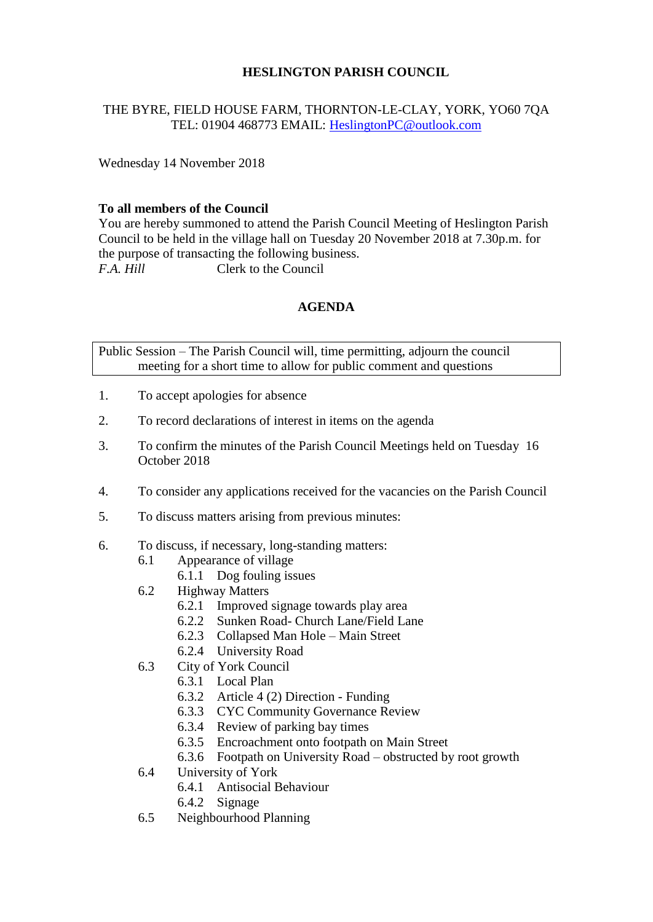# **HESLINGTON PARISH COUNCIL**

# THE BYRE, FIELD HOUSE FARM, THORNTON-LE-CLAY, YORK, YO60 7QA TEL: 01904 468773 EMAIL: [HeslingtonPC@outlook.com](mailto:HeslingtonPC@outlook.com)

Wednesday 14 November 2018

## **To all members of the Council**

You are hereby summoned to attend the Parish Council Meeting of Heslington Parish Council to be held in the village hall on Tuesday 20 November 2018 at 7.30p.m. for the purpose of transacting the following business. *F.A. Hill* Clerk to the Council

## **AGENDA**

Public Session – The Parish Council will, time permitting, adjourn the council meeting for a short time to allow for public comment and questions

- 1. To accept apologies for absence
- 2. To record declarations of interest in items on the agenda
- 3. To confirm the minutes of the Parish Council Meetings held on Tuesday 16 October 2018
- 4. To consider any applications received for the vacancies on the Parish Council
- 5. To discuss matters arising from previous minutes:
- 6. To discuss, if necessary, long-standing matters:
	- 6.1 Appearance of village
		- 6.1.1 Dog fouling issues
	- 6.2 Highway Matters
		- 6.2.1 Improved signage towards play area
		- 6.2.2 Sunken Road- Church Lane/Field Lane
		- 6.2.3 Collapsed Man Hole Main Street
		- 6.2.4 University Road
	- 6.3 City of York Council
		- 6.3.1 Local Plan
		- 6.3.2 Article 4 (2) Direction Funding
		- 6.3.3 CYC Community Governance Review
		- 6.3.4 Review of parking bay times
		- 6.3.5 Encroachment onto footpath on Main Street
		- 6.3.6 Footpath on University Road obstructed by root growth
	- 6.4 University of York
		- 6.4.1 Antisocial Behaviour
		- 6.4.2 Signage
	- 6.5 Neighbourhood Planning